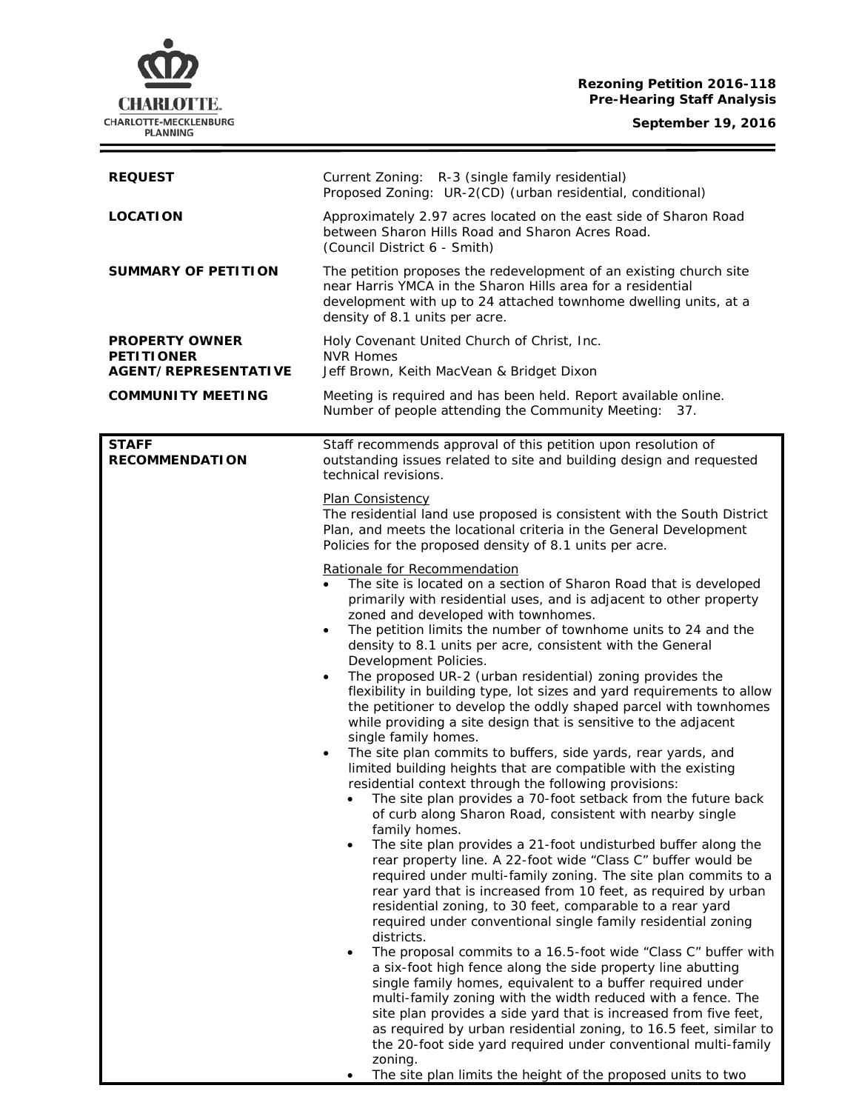# **Rezoning Petition 2016-118 Pre-Hearing Staff Analysis**

**September 19, 2016**

 $\equiv$ 



| <b>REQUEST</b>                                                            | Current Zoning: R-3 (single family residential)<br>Proposed Zoning: UR-2(CD) (urban residential, conditional)                                                                                                                                                                                                                                                                                                                                                                                                                                                                                                                                                                                                                                                                                                                                                                                                                                                                                                                                                                                                                                                                                                                                                                                                                                                                                                                                                                                                                                                                                                                                                                                                                                                                                                                                                                                                                                                                                                                                                 |
|---------------------------------------------------------------------------|---------------------------------------------------------------------------------------------------------------------------------------------------------------------------------------------------------------------------------------------------------------------------------------------------------------------------------------------------------------------------------------------------------------------------------------------------------------------------------------------------------------------------------------------------------------------------------------------------------------------------------------------------------------------------------------------------------------------------------------------------------------------------------------------------------------------------------------------------------------------------------------------------------------------------------------------------------------------------------------------------------------------------------------------------------------------------------------------------------------------------------------------------------------------------------------------------------------------------------------------------------------------------------------------------------------------------------------------------------------------------------------------------------------------------------------------------------------------------------------------------------------------------------------------------------------------------------------------------------------------------------------------------------------------------------------------------------------------------------------------------------------------------------------------------------------------------------------------------------------------------------------------------------------------------------------------------------------------------------------------------------------------------------------------------------------|
| <b>LOCATION</b>                                                           | Approximately 2.97 acres located on the east side of Sharon Road<br>between Sharon Hills Road and Sharon Acres Road.<br>(Council District 6 - Smith)                                                                                                                                                                                                                                                                                                                                                                                                                                                                                                                                                                                                                                                                                                                                                                                                                                                                                                                                                                                                                                                                                                                                                                                                                                                                                                                                                                                                                                                                                                                                                                                                                                                                                                                                                                                                                                                                                                          |
| <b>SUMMARY OF PETITION</b>                                                | The petition proposes the redevelopment of an existing church site<br>near Harris YMCA in the Sharon Hills area for a residential<br>development with up to 24 attached townhome dwelling units, at a<br>density of 8.1 units per acre.                                                                                                                                                                                                                                                                                                                                                                                                                                                                                                                                                                                                                                                                                                                                                                                                                                                                                                                                                                                                                                                                                                                                                                                                                                                                                                                                                                                                                                                                                                                                                                                                                                                                                                                                                                                                                       |
| <b>PROPERTY OWNER</b><br><b>PETITIONER</b><br><b>AGENT/REPRESENTATIVE</b> | Holy Covenant United Church of Christ, Inc.<br><b>NVR Homes</b><br>Jeff Brown, Keith MacVean & Bridget Dixon                                                                                                                                                                                                                                                                                                                                                                                                                                                                                                                                                                                                                                                                                                                                                                                                                                                                                                                                                                                                                                                                                                                                                                                                                                                                                                                                                                                                                                                                                                                                                                                                                                                                                                                                                                                                                                                                                                                                                  |
| <b>COMMUNITY MEETING</b>                                                  | Meeting is required and has been held. Report available online.<br>Number of people attending the Community Meeting: 37.                                                                                                                                                                                                                                                                                                                                                                                                                                                                                                                                                                                                                                                                                                                                                                                                                                                                                                                                                                                                                                                                                                                                                                                                                                                                                                                                                                                                                                                                                                                                                                                                                                                                                                                                                                                                                                                                                                                                      |
| <b>STAFF</b><br><b>RECOMMENDATION</b>                                     | Staff recommends approval of this petition upon resolution of<br>outstanding issues related to site and building design and requested<br>technical revisions.                                                                                                                                                                                                                                                                                                                                                                                                                                                                                                                                                                                                                                                                                                                                                                                                                                                                                                                                                                                                                                                                                                                                                                                                                                                                                                                                                                                                                                                                                                                                                                                                                                                                                                                                                                                                                                                                                                 |
|                                                                           | <b>Plan Consistency</b><br>The residential land use proposed is consistent with the South District<br>Plan, and meets the locational criteria in the General Development<br>Policies for the proposed density of 8.1 units per acre.                                                                                                                                                                                                                                                                                                                                                                                                                                                                                                                                                                                                                                                                                                                                                                                                                                                                                                                                                                                                                                                                                                                                                                                                                                                                                                                                                                                                                                                                                                                                                                                                                                                                                                                                                                                                                          |
|                                                                           | Rationale for Recommendation<br>The site is located on a section of Sharon Road that is developed<br>$\bullet$<br>primarily with residential uses, and is adjacent to other property<br>zoned and developed with townhomes.<br>The petition limits the number of townhome units to 24 and the<br>density to 8.1 units per acre, consistent with the General<br>Development Policies.<br>The proposed UR-2 (urban residential) zoning provides the<br>$\bullet$<br>flexibility in building type, lot sizes and yard requirements to allow<br>the petitioner to develop the oddly shaped parcel with townhomes<br>while providing a site design that is sensitive to the adjacent<br>single family homes.<br>The site plan commits to buffers, side yards, rear yards, and<br>$\bullet$<br>limited building heights that are compatible with the existing<br>residential context through the following provisions:<br>The site plan provides a 70-foot setback from the future back<br>of curb along Sharon Road, consistent with nearby single<br>family homes.<br>The site plan provides a 21-foot undisturbed buffer along the<br>$\bullet$<br>rear property line. A 22-foot wide "Class C" buffer would be<br>required under multi-family zoning. The site plan commits to a<br>rear yard that is increased from 10 feet, as required by urban<br>residential zoning, to 30 feet, comparable to a rear yard<br>required under conventional single family residential zoning<br>districts.<br>The proposal commits to a 16.5-foot wide "Class C" buffer with<br>$\bullet$<br>a six-foot high fence along the side property line abutting<br>single family homes, equivalent to a buffer required under<br>multi-family zoning with the width reduced with a fence. The<br>site plan provides a side yard that is increased from five feet,<br>as required by urban residential zoning, to 16.5 feet, similar to<br>the 20-foot side yard required under conventional multi-family<br>zoning.<br>The site plan limits the height of the proposed units to two |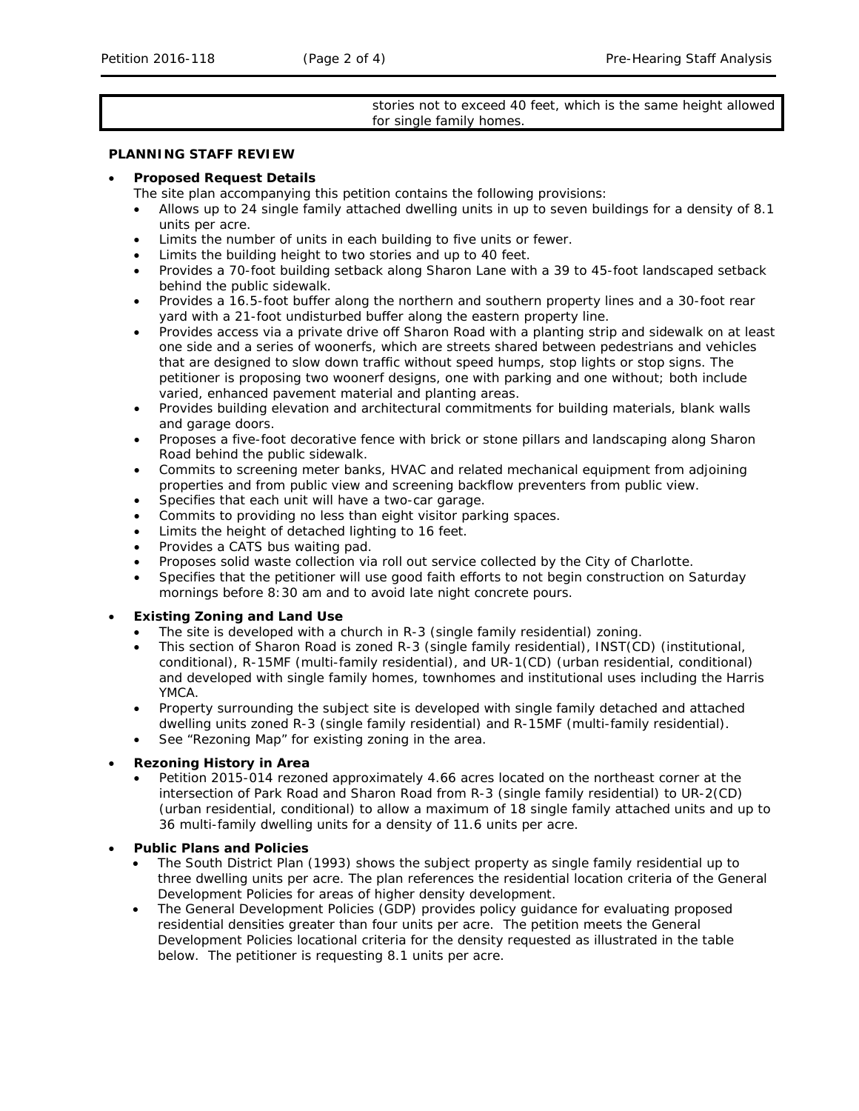## stories not to exceed 40 feet, which is the same height allowed for single family homes.

# **PLANNING STAFF REVIEW**

#### • **Proposed Request Details**

The site plan accompanying this petition contains the following provisions:

- Allows up to 24 single family attached dwelling units in up to seven buildings for a density of 8.1 units per acre.
- Limits the number of units in each building to five units or fewer.
- Limits the building height to two stories and up to 40 feet.
- Provides a 70-foot building setback along Sharon Lane with a 39 to 45-foot landscaped setback behind the public sidewalk.
- Provides a 16.5-foot buffer along the northern and southern property lines and a 30-foot rear yard with a 21-foot undisturbed buffer along the eastern property line.
- Provides access via a private drive off Sharon Road with a planting strip and sidewalk on at least one side and a series of woonerfs, which are streets shared between pedestrians and vehicles that are designed to slow down traffic without speed humps, stop lights or stop signs. The petitioner is proposing two woonerf designs, one with parking and one without; both include varied, enhanced pavement material and planting areas.
- Provides building elevation and architectural commitments for building materials, blank walls and garage doors.
- Proposes a five-foot decorative fence with brick or stone pillars and landscaping along Sharon Road behind the public sidewalk.
- Commits to screening meter banks, HVAC and related mechanical equipment from adjoining properties and from public view and screening backflow preventers from public view.
- Specifies that each unit will have a two-car garage.
- Commits to providing no less than eight visitor parking spaces.
- Limits the height of detached lighting to 16 feet.
- Provides a CATS bus waiting pad.
- Proposes solid waste collection via roll out service collected by the City of Charlotte.
- Specifies that the petitioner will use good faith efforts to not begin construction on Saturday mornings before 8:30 am and to avoid late night concrete pours.

### • **Existing Zoning and Land Use**

- The site is developed with a church in R-3 (single family residential) zoning.
- This section of Sharon Road is zoned R-3 (single family residential), INST(CD) (institutional, conditional), R-15MF (multi-family residential), and UR-1(CD) (urban residential, conditional) and developed with single family homes, townhomes and institutional uses including the Harris YMCA.
- Property surrounding the subject site is developed with single family detached and attached dwelling units zoned R-3 (single family residential) and R-15MF (multi-family residential).
- See "Rezoning Map" for existing zoning in the area.

#### • **Rezoning History in Area**

• Petition 2015-014 rezoned approximately 4.66 acres located on the northeast corner at the intersection of Park Road and Sharon Road from R-3 (single family residential) to UR-2(CD) (urban residential, conditional) to allow a maximum of 18 single family attached units and up to 36 multi-family dwelling units for a density of 11.6 units per acre.

## • **Public Plans and Policies**

- The *South District Plan* (1993) shows the subject property as single family residential up to three dwelling units per acre. The plan references the residential location criteria of the *General Development Policies* for areas of higher density development.
- The *General Development Policies* (GDP) provides policy guidance for evaluating proposed residential densities greater than four units per acre. The petition meets the *General Development Policies* locational criteria for the density requested as illustrated in the table below. The petitioner is requesting 8.1 units per acre.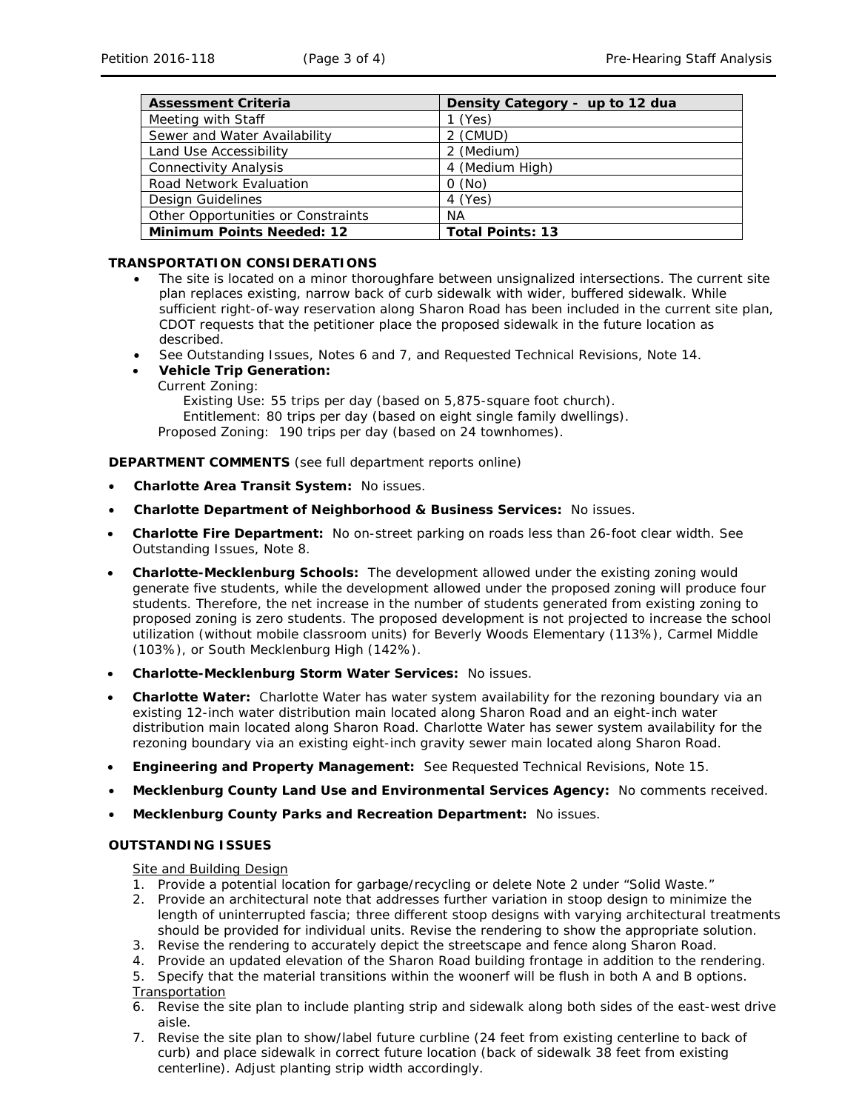| <b>Assessment Criteria</b>         | Density Category - up to 12 dua |
|------------------------------------|---------------------------------|
| Meeting with Staff                 | $1$ (Yes)                       |
| Sewer and Water Availability       | 2 (CMUD)                        |
| Land Use Accessibility             | 2 (Medium)                      |
| <b>Connectivity Analysis</b>       | 4 (Medium High)                 |
| <b>Road Network Evaluation</b>     | 0(No)                           |
| Design Guidelines                  | 4 (Yes)                         |
| Other Opportunities or Constraints | ΝA                              |
| <b>Minimum Points Needed: 12</b>   | <b>Total Points: 13</b>         |

# **TRANSPORTATION CONSIDERATIONS**

- The site is located on a minor thoroughfare between unsignalized intersections. The current site plan replaces existing, narrow back of curb sidewalk with wider, buffered sidewalk. While sufficient right-of-way reservation along Sharon Road has been included in the current site plan, CDOT requests that the petitioner place the proposed sidewalk in the future location as described.
- See Outstanding Issues, Notes 6 and 7, and Requested Technical Revisions, Note 14.
- **Vehicle Trip Generation:**
	- Current Zoning:

Existing Use: 55 trips per day (based on 5,875-square foot church). Entitlement: 80 trips per day (based on eight single family dwellings). Proposed Zoning: 190 trips per day (based on 24 townhomes).

**DEPARTMENT COMMENTS** (see full department reports online)

- **Charlotte Area Transit System:** No issues.
- **Charlotte Department of Neighborhood & Business Services:** No issues.
- **Charlotte Fire Department:** No on-street parking on roads less than 26-foot clear width. See Outstanding Issues, Note 8.
- **Charlotte-Mecklenburg Schools:** The development allowed under the existing zoning would generate five students, while the development allowed under the proposed zoning will produce four students. Therefore, the net increase in the number of students generated from existing zoning to proposed zoning is zero students. The proposed development is not projected to increase the school utilization (without mobile classroom units) for Beverly Woods Elementary (113%), Carmel Middle (103%), or South Mecklenburg High (142%).
- **Charlotte-Mecklenburg Storm Water Services:** No issues.
- **Charlotte Water:** Charlotte Water has water system availability for the rezoning boundary via an existing 12-inch water distribution main located along Sharon Road and an eight-inch water distribution main located along Sharon Road. Charlotte Water has sewer system availability for the rezoning boundary via an existing eight-inch gravity sewer main located along Sharon Road.
- **Engineering and Property Management:** See Requested Technical Revisions, Note 15.
- **Mecklenburg County Land Use and Environmental Services Agency:** No comments received.
- **Mecklenburg County Parks and Recreation Department:** No issues.

# **OUTSTANDING ISSUES**

#### Site and Building Design

- 1. Provide a potential location for garbage/recycling or delete Note 2 under "Solid Waste."
- 2. Provide an architectural note that addresses further variation in stoop design to minimize the length of uninterrupted fascia; three different stoop designs with varying architectural treatments should be provided for individual units. Revise the rendering to show the appropriate solution.
- 3. Revise the rendering to accurately depict the streetscape and fence along Sharon Road.
- 4. Provide an updated elevation of the Sharon Road building frontage in addition to the rendering.
- 5. Specify that the material transitions within the woonerf will be flush in both A and B options.
- Transportation
- 6. Revise the site plan to include planting strip and sidewalk along both sides of the east-west drive aisle.
- 7. Revise the site plan to show/label future curbline (24 feet from existing centerline to back of curb) and place sidewalk in correct future location (back of sidewalk 38 feet from existing centerline). Adjust planting strip width accordingly.